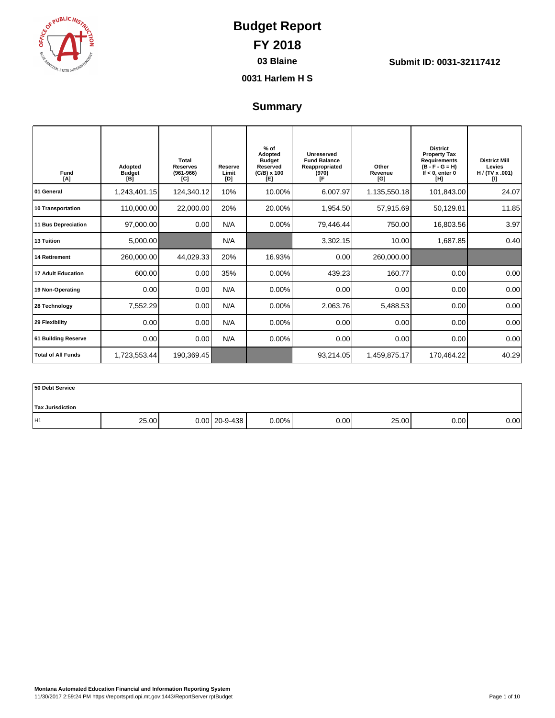

**03 Blaine Submit ID: 0031-32117412**

**0031 Harlem H S**

### **Summary**

| Fund<br>[A]               | Adopted<br><b>Budget</b><br>[B] | Total<br><b>Reserves</b><br>$(961 - 966)$<br>[C] | Reserve<br>Limit<br>[D] | $%$ of<br>Adopted<br><b>Budget</b><br>Reserved<br>$(C/B) \times 100$<br>[E] | Unreserved<br><b>Fund Balance</b><br>Reappropriated<br>(970)<br>ſF | Other<br>Revenue<br>[G] | <b>District</b><br><b>Property Tax</b><br><b>Requirements</b><br>$(B - F - G = H)$<br>If $< 0$ . enter 0<br>[H] | <b>District Mill</b><br>Levies<br>H / (TV x .001)<br>m |
|---------------------------|---------------------------------|--------------------------------------------------|-------------------------|-----------------------------------------------------------------------------|--------------------------------------------------------------------|-------------------------|-----------------------------------------------------------------------------------------------------------------|--------------------------------------------------------|
| 01 General                | 1,243,401.15                    | 124,340.12                                       | 10%                     | 10.00%                                                                      | 6,007.97                                                           | 1,135,550.18            | 101,843.00                                                                                                      | 24.07                                                  |
| <b>10 Transportation</b>  | 110,000.00                      | 22,000.00                                        | 20%                     | 20.00%                                                                      | 1,954.50                                                           | 57,915.69               | 50,129.81                                                                                                       | 11.85                                                  |
| 11 Bus Depreciation       | 97,000.00                       | 0.00                                             | N/A                     | 0.00%                                                                       | 79,446.44                                                          | 750.00                  | 16,803.56                                                                                                       | 3.97                                                   |
| 13 Tuition                | 5,000.00                        |                                                  | N/A                     |                                                                             | 3,302.15                                                           | 10.00                   | 1,687.85                                                                                                        | 0.40                                                   |
| <b>14 Retirement</b>      | 260,000.00                      | 44,029.33                                        | 20%                     | 16.93%                                                                      | 0.00                                                               | 260,000.00              |                                                                                                                 |                                                        |
| <b>17 Adult Education</b> | 600.00                          | 0.00                                             | 35%                     | 0.00%                                                                       | 439.23                                                             | 160.77                  | 0.00                                                                                                            | 0.00                                                   |
| 19 Non-Operating          | 0.00                            | 0.00                                             | N/A                     | 0.00%                                                                       | 0.00                                                               | 0.00                    | 0.00                                                                                                            | 0.00                                                   |
| 28 Technology             | 7,552.29                        | 0.00                                             | N/A                     | 0.00%                                                                       | 2,063.76                                                           | 5,488.53                | 0.00                                                                                                            | 0.00                                                   |
| 29 Flexibility            | 0.00                            | 0.00                                             | N/A                     | 0.00%                                                                       | 0.00                                                               | 0.00                    | 0.00                                                                                                            | 0.00                                                   |
| 61 Building Reserve       | 0.00                            | 0.00                                             | N/A                     | 0.00%                                                                       | 0.00                                                               | 0.00                    | 0.00                                                                                                            | 0.00                                                   |
| <b>Total of All Funds</b> | 1,723,553.44                    | 190,369.45                                       |                         |                                                                             | 93,214.05                                                          | 1,459,875.17            | 170,464.22                                                                                                      | 40.29                                                  |

| 50 Debt Service         |       |                 |       |      |       |      |      |
|-------------------------|-------|-----------------|-------|------|-------|------|------|
| <b>Tax Jurisdiction</b> |       |                 |       |      |       |      |      |
| H1                      | 25.00 | $0.00$ 20-9-438 | 0.00% | 0.00 | 25.00 | 0.00 | 0.00 |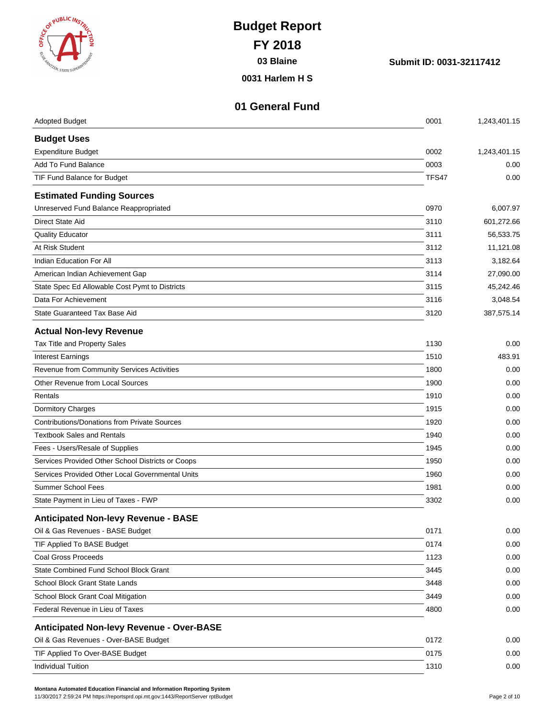| <b>BELIEVELIC INST</b><br><b>ARNIZEN, STATE SUPER</b>                  | <b>Budget Report</b><br><b>FY 2018</b><br>03 Blaine<br>0031 Harlem H S | Submit ID: 0031-32117412 |                        |
|------------------------------------------------------------------------|------------------------------------------------------------------------|--------------------------|------------------------|
| <b>Adopted Budget</b>                                                  | 01 General Fund                                                        | 0001                     | 1,243,401.15           |
|                                                                        |                                                                        |                          |                        |
| <b>Budget Uses</b><br><b>Expenditure Budget</b>                        |                                                                        | 0002                     | 1,243,401.15           |
| Add To Fund Balance                                                    |                                                                        | 0003                     | 0.00                   |
| TIF Fund Balance for Budget                                            |                                                                        | TFS47                    | 0.00                   |
|                                                                        |                                                                        |                          |                        |
| <b>Estimated Funding Sources</b>                                       |                                                                        |                          |                        |
| Unreserved Fund Balance Reappropriated<br><b>Direct State Aid</b>      |                                                                        | 0970                     | 6,007.97               |
|                                                                        |                                                                        | 3110                     | 601,272.66             |
| <b>Quality Educator</b>                                                |                                                                        | 3111                     | 56,533.75              |
| At Risk Student                                                        |                                                                        | 3112                     | 11,121.08              |
| Indian Education For All                                               |                                                                        | 3113                     | 3,182.64               |
| American Indian Achievement Gap                                        |                                                                        | 3114                     | 27,090.00              |
| State Spec Ed Allowable Cost Pymt to Districts<br>Data For Achievement |                                                                        | 3115                     | 45,242.46              |
| State Guaranteed Tax Base Aid                                          |                                                                        | 3116<br>3120             | 3,048.54<br>387,575.14 |
|                                                                        |                                                                        |                          |                        |
| <b>Actual Non-levy Revenue</b>                                         |                                                                        |                          |                        |
| Tax Title and Property Sales                                           |                                                                        | 1130                     | 0.00                   |
| <b>Interest Earnings</b>                                               |                                                                        | 1510                     | 483.91                 |
| Revenue from Community Services Activities                             |                                                                        | 1800                     | 0.00                   |
| Other Revenue from Local Sources                                       |                                                                        | 1900                     | 0.00                   |
| Rentals                                                                |                                                                        | 1910                     | 0.00                   |
| <b>Dormitory Charges</b>                                               |                                                                        | 1915                     | 0.00                   |
| <b>Contributions/Donations from Private Sources</b>                    |                                                                        | 1920                     | 0.00                   |
| <b>Textbook Sales and Rentals</b>                                      |                                                                        | 1940                     | 0.00                   |
| Fees - Users/Resale of Supplies                                        |                                                                        | 1945                     | 0.00                   |
| Services Provided Other School Districts or Coops                      |                                                                        | 1950                     | 0.00                   |
| Services Provided Other Local Governmental Units                       |                                                                        | 1960                     | 0.00                   |
| <b>Summer School Fees</b>                                              |                                                                        | 1981                     | 0.00                   |
| State Payment in Lieu of Taxes - FWP                                   |                                                                        | 3302                     | 0.00                   |
| <b>Anticipated Non-levy Revenue - BASE</b>                             |                                                                        |                          |                        |
| Oil & Gas Revenues - BASE Budget                                       |                                                                        | 0171                     | 0.00                   |
| TIF Applied To BASE Budget                                             |                                                                        | 0174                     | 0.00                   |
| <b>Coal Gross Proceeds</b>                                             |                                                                        | 1123                     | 0.00                   |
| State Combined Fund School Block Grant                                 |                                                                        | 3445                     | 0.00                   |
| School Block Grant State Lands                                         |                                                                        | 3448                     | 0.00                   |
| School Block Grant Coal Mitigation                                     |                                                                        | 3449                     | 0.00                   |
| Federal Revenue in Lieu of Taxes                                       |                                                                        | 4800                     | 0.00                   |
| <b>Anticipated Non-levy Revenue - Over-BASE</b>                        |                                                                        |                          |                        |
| Oil & Gas Revenues - Over-BASE Budget                                  |                                                                        | 0172                     | 0.00                   |
| TIF Applied To Over-BASE Budget                                        |                                                                        | 0175                     | 0.00                   |
| <b>Individual Tuition</b>                                              |                                                                        | 1310                     | 0.00                   |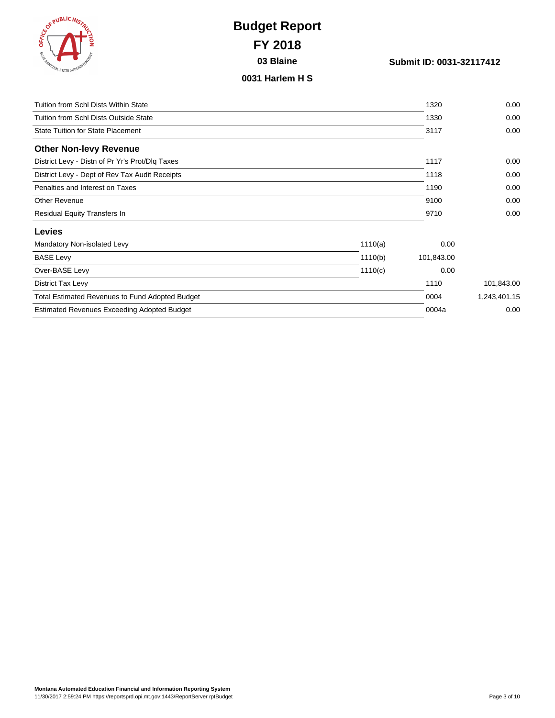| ES ( PUBLIC INSTRUCT                 | ے<br>S |
|--------------------------------------|--------|
| <b>REAMINEEN, STATE SUPERINTENDE</b> |        |
|                                      |        |

**03 Blaine Submit ID: 0031-32117412**

#### **0031 Harlem H S**

| Tuition from Schl Dists Within State                   |         | 1320       | 0.00         |
|--------------------------------------------------------|---------|------------|--------------|
| Tuition from Schl Dists Outside State                  |         | 1330       | 0.00         |
| State Tuition for State Placement                      |         | 3117       | 0.00         |
| <b>Other Non-levy Revenue</b>                          |         |            |              |
| District Levy - Distn of Pr Yr's Prot/Dlq Taxes        |         | 1117       | 0.00         |
| District Levy - Dept of Rev Tax Audit Receipts         |         | 1118       | 0.00         |
| Penalties and Interest on Taxes                        |         | 1190       | 0.00         |
| Other Revenue                                          |         | 9100       | 0.00         |
| Residual Equity Transfers In                           |         | 9710       | 0.00         |
| <b>Levies</b>                                          |         |            |              |
| Mandatory Non-isolated Levy                            | 1110(a) | 0.00       |              |
| <b>BASE Levy</b>                                       | 1110(b) | 101,843.00 |              |
| Over-BASE Levy                                         | 1110(c) | 0.00       |              |
| District Tax Levy                                      |         | 1110       | 101,843.00   |
| <b>Total Estimated Revenues to Fund Adopted Budget</b> |         | 0004       | 1,243,401.15 |
| <b>Estimated Revenues Exceeding Adopted Budget</b>     |         | 0004a      | 0.00         |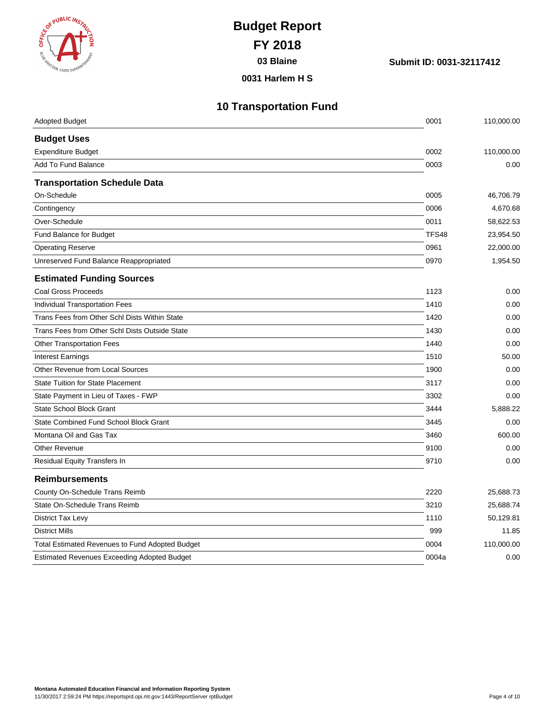| <b>KOT PUBLIC INSTRUCT</b>      | ş |
|---------------------------------|---|
| ESE MAINZEN, STATE SUPERINTENDE |   |
|                                 |   |

**03 Blaine Submit ID: 0031-32117412**

**0031 Harlem H S**

| <b>10 Transportation Fund</b> |
|-------------------------------|
|-------------------------------|

| <b>Adopted Budget</b>                           | 0001  | 110,000.00 |
|-------------------------------------------------|-------|------------|
| <b>Budget Uses</b>                              |       |            |
| <b>Expenditure Budget</b>                       | 0002  | 110,000.00 |
| Add To Fund Balance                             | 0003  | 0.00       |
| <b>Transportation Schedule Data</b>             |       |            |
| On-Schedule                                     | 0005  | 46,706.79  |
| Contingency                                     | 0006  | 4,670.68   |
| Over-Schedule                                   | 0011  | 58,622.53  |
| Fund Balance for Budget                         | TFS48 | 23,954.50  |
| <b>Operating Reserve</b>                        | 0961  | 22,000.00  |
| Unreserved Fund Balance Reappropriated          | 0970  | 1,954.50   |
| <b>Estimated Funding Sources</b>                |       |            |
| <b>Coal Gross Proceeds</b>                      | 1123  | 0.00       |
| Individual Transportation Fees                  | 1410  | 0.00       |
| Trans Fees from Other Schl Dists Within State   | 1420  | 0.00       |
| Trans Fees from Other Schl Dists Outside State  | 1430  | 0.00       |
| <b>Other Transportation Fees</b>                | 1440  | 0.00       |
| <b>Interest Earnings</b>                        | 1510  | 50.00      |
| Other Revenue from Local Sources                | 1900  | 0.00       |
| <b>State Tuition for State Placement</b>        | 3117  | 0.00       |
| State Payment in Lieu of Taxes - FWP            | 3302  | 0.00       |
| <b>State School Block Grant</b>                 | 3444  | 5,888.22   |
| State Combined Fund School Block Grant          | 3445  | 0.00       |
| Montana Oil and Gas Tax                         | 3460  | 600.00     |
| <b>Other Revenue</b>                            | 9100  | 0.00       |
| Residual Equity Transfers In                    | 9710  | 0.00       |
| <b>Reimbursements</b>                           |       |            |
| County On-Schedule Trans Reimb                  | 2220  | 25,688.73  |
| State On-Schedule Trans Reimb                   | 3210  | 25,688.74  |
| <b>District Tax Levy</b>                        | 1110  | 50,129.81  |
| <b>District Mills</b>                           | 999   | 11.85      |
| Total Estimated Revenues to Fund Adopted Budget | 0004  | 110,000.00 |
| Estimated Revenues Exceeding Adopted Budget     | 0004a | 0.00       |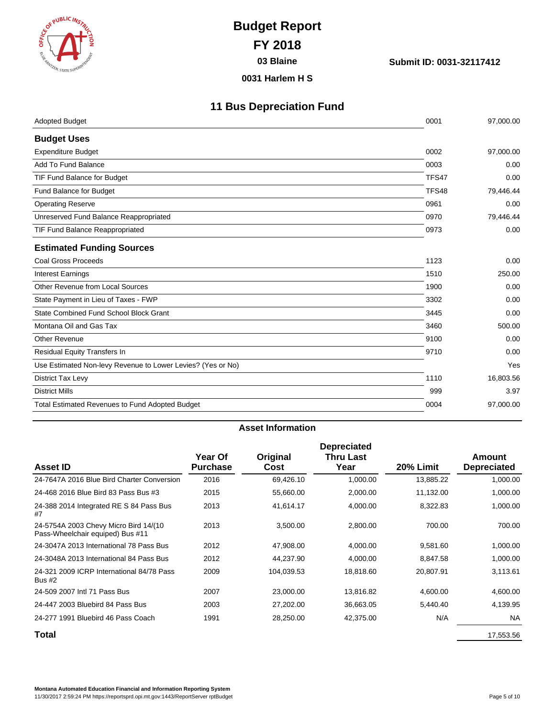

**03 Blaine Submit ID: 0031-32117412**

**0031 Harlem H S**

### **11 Bus Depreciation Fund**

| <b>Adopted Budget</b>                                       | 0001  | 97,000.00 |
|-------------------------------------------------------------|-------|-----------|
| <b>Budget Uses</b>                                          |       |           |
| <b>Expenditure Budget</b>                                   | 0002  | 97,000.00 |
| Add To Fund Balance                                         | 0003  | 0.00      |
| TIF Fund Balance for Budget                                 | TFS47 | 0.00      |
| Fund Balance for Budget                                     | TFS48 | 79,446.44 |
| <b>Operating Reserve</b>                                    | 0961  | 0.00      |
| Unreserved Fund Balance Reappropriated                      | 0970  | 79,446.44 |
| TIF Fund Balance Reappropriated                             | 0973  | 0.00      |
| <b>Estimated Funding Sources</b>                            |       |           |
| Coal Gross Proceeds                                         | 1123  | 0.00      |
| <b>Interest Earnings</b>                                    | 1510  | 250.00    |
| Other Revenue from Local Sources                            | 1900  | 0.00      |
| State Payment in Lieu of Taxes - FWP                        | 3302  | 0.00      |
| State Combined Fund School Block Grant                      | 3445  | 0.00      |
| Montana Oil and Gas Tax                                     | 3460  | 500.00    |
| <b>Other Revenue</b>                                        | 9100  | 0.00      |
| <b>Residual Equity Transfers In</b>                         | 9710  | 0.00      |
| Use Estimated Non-levy Revenue to Lower Levies? (Yes or No) |       | Yes       |
| District Tax Levy                                           | 1110  | 16,803.56 |
| <b>District Mills</b>                                       | 999   | 3.97      |
| <b>Total Estimated Revenues to Fund Adopted Budget</b>      | 0004  | 97,000.00 |
|                                                             |       |           |

#### **Asset Information**

|                                                                           |                            |                  | <b>Depreciated</b>       |           |                              |
|---------------------------------------------------------------------------|----------------------------|------------------|--------------------------|-----------|------------------------------|
| <b>Asset ID</b>                                                           | Year Of<br><b>Purchase</b> | Original<br>Cost | <b>Thru Last</b><br>Year | 20% Limit | Amount<br><b>Depreciated</b> |
| 24-7647A 2016 Blue Bird Charter Conversion                                | 2016                       | 69,426.10        | 1,000.00                 | 13,885.22 | 1,000.00                     |
| 24-468 2016 Blue Bird 83 Pass Bus #3                                      | 2015                       | 55,660.00        | 2,000.00                 | 11,132.00 | 1,000.00                     |
| 24-388 2014 Integrated RE S 84 Pass Bus<br>#7                             | 2013                       | 41,614.17        | 4,000.00                 | 8,322.83  | 1,000.00                     |
| 24-5754A 2003 Chevy Micro Bird 14/(10<br>Pass-Wheelchair equiped) Bus #11 | 2013                       | 3,500.00         | 2,800.00                 | 700.00    | 700.00                       |
| 24-3047A 2013 International 78 Pass Bus                                   | 2012                       | 47,908.00        | 4,000.00                 | 9,581.60  | 1,000.00                     |
| 24-3048A 2013 International 84 Pass Bus                                   | 2012                       | 44,237.90        | 4,000.00                 | 8,847.58  | 1,000.00                     |
| 24-321 2009 ICRP International 84/78 Pass<br><b>Bus #2</b>                | 2009                       | 104,039.53       | 18,818.60                | 20,807.91 | 3,113.61                     |
| 24-509 2007 Intl 71 Pass Bus                                              | 2007                       | 23,000.00        | 13,816.82                | 4,600.00  | 4,600.00                     |
| 24-447 2003 Bluebird 84 Pass Bus                                          | 2003                       | 27,202.00        | 36,663.05                | 5,440.40  | 4,139.95                     |
| 24-277 1991 Bluebird 46 Pass Coach                                        | 1991                       | 28,250.00        | 42,375.00                | N/A       | <b>NA</b>                    |
| Total                                                                     |                            |                  |                          |           | 17,553.56                    |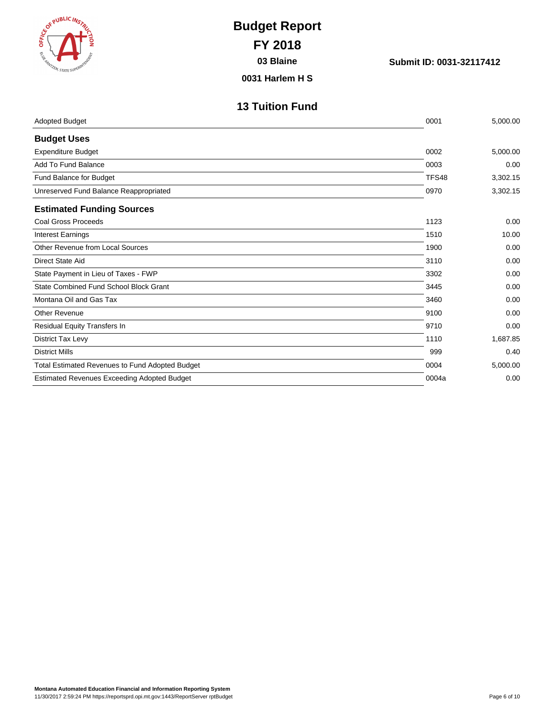| <b>EXAMPLIC INST</b><br><b>REN, STATE SUPE</b> | <b>Budget Report</b><br><b>FY 2018</b><br>03 Blaine<br>0031 Harlem H S | Submit ID: 0031-32117412 |          |
|------------------------------------------------|------------------------------------------------------------------------|--------------------------|----------|
|                                                | <b>13 Tuition Fund</b>                                                 |                          |          |
| <b>Adopted Budget</b>                          |                                                                        | 0001                     | 5,000.00 |
| <b>Budget Uses</b>                             |                                                                        |                          |          |
| <b>Expenditure Budget</b>                      |                                                                        | 0002                     | 5,000.00 |
| Add To Fund Balance                            |                                                                        | 0003                     | 0.00     |
| Fund Balance for Budget                        |                                                                        | TFS48                    | 3,302.15 |
| Unreserved Fund Balance Reappropriated         |                                                                        | 0970                     | 3,302.15 |
| <b>Estimated Funding Sources</b>               |                                                                        |                          |          |
| <b>Coal Gross Proceeds</b>                     |                                                                        | 1123                     | 0.00     |
| <b>Interest Earnings</b>                       |                                                                        | 1510                     | 10.00    |
| Other Revenue from Local Sources               |                                                                        | 1900                     | 0.00     |
| Direct State Aid                               |                                                                        | 3110                     | 0.00     |
| State Payment in Lieu of Taxes - FWP           |                                                                        | 3302                     | 0.00     |
| State Combined Fund School Block Grant         |                                                                        | 3445                     | 0.00     |
| Montana Oil and Gas Tax                        |                                                                        | 3460                     | 0.00     |
| <b>Other Revenue</b>                           |                                                                        | 9100                     | 0.00     |
| Residual Equity Transfers In                   |                                                                        | 9710                     | 0.00     |

District Tax Levy 1,687.85 District Mills 999 0.40 Total Estimated Revenues to Fund Adopted Budget 6.000.00 6.000 5,000.00 Estimated Revenues Exceeding Adopted Budget 0.00 and 5 and 5 and 5 and 5 and 5 and 5 and 5 and 6 and 6 and 6 and 6 and 6 and 6 and 6 and 6 and 6 and 6 and 6 and 6 and 6 and 6 and 6 and 6 and 6 and 6 and 6 and 6 and 6 and 6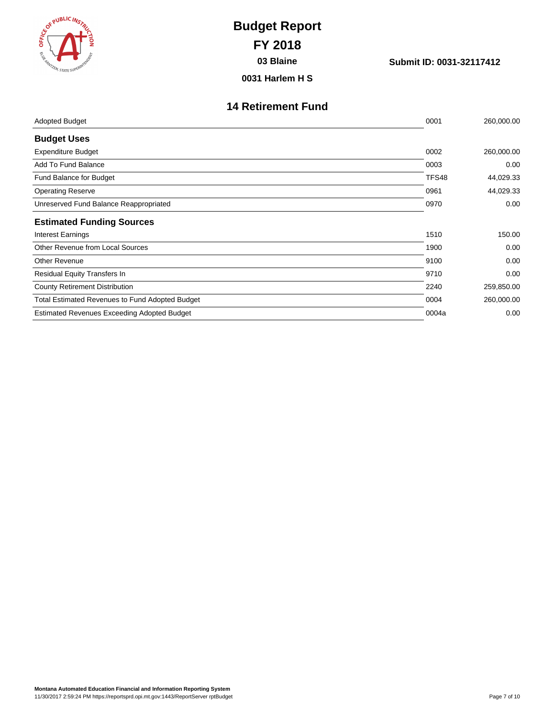| <b>BE (SOR PUBLIC INS.</b><br><b>CAR MIZEN, STATE SUPERIN</b> | <b>Budget Report</b><br><b>FY 2018</b><br>03 Blaine<br>0031 Harlem H S | Submit ID: 0031-32117412 |            |
|---------------------------------------------------------------|------------------------------------------------------------------------|--------------------------|------------|
|                                                               |                                                                        |                          |            |
|                                                               | <b>14 Retirement Fund</b>                                              |                          |            |
| <b>Adopted Budget</b>                                         |                                                                        | 0001                     | 260,000.00 |
| <b>Budget Uses</b>                                            |                                                                        |                          |            |
| <b>Expenditure Budget</b>                                     |                                                                        | 0002                     | 260,000.00 |
| Add To Fund Balance                                           |                                                                        | 0003                     | 0.00       |
| Fund Balance for Budget                                       |                                                                        | TFS48                    | 44,029.33  |
| <b>Operating Reserve</b>                                      |                                                                        | 0961                     | 44,029.33  |
| Unreserved Fund Balance Reappropriated                        |                                                                        | 0970                     | 0.00       |
| <b>Estimated Funding Sources</b>                              |                                                                        |                          |            |
| <b>Interest Earnings</b>                                      |                                                                        | 1510                     | 150.00     |
| Other Revenue from Local Sources                              |                                                                        | 1900                     | 0.00       |
| <b>Other Revenue</b>                                          |                                                                        | 9100                     | 0.00       |
| Residual Equity Transfers In                                  |                                                                        | 9710                     | 0.00       |
| <b>County Retirement Distribution</b>                         |                                                                        | 2240                     | 259,850.00 |
| <b>Total Estimated Revenues to Fund Adopted Budget</b>        |                                                                        | 0004                     | 260,000.00 |

Estimated Revenues Exceeding Adopted Budget 0.00 and 1.000 and 1.000 and 1.000 and 1.000 and 1.000 and 1.000 and 1.000 and 1.000 and 1.000 and 1.000 and 1.000 and 1.000 and 1.000 and 1.000 and 1.000 and 1.000 and 1.000 and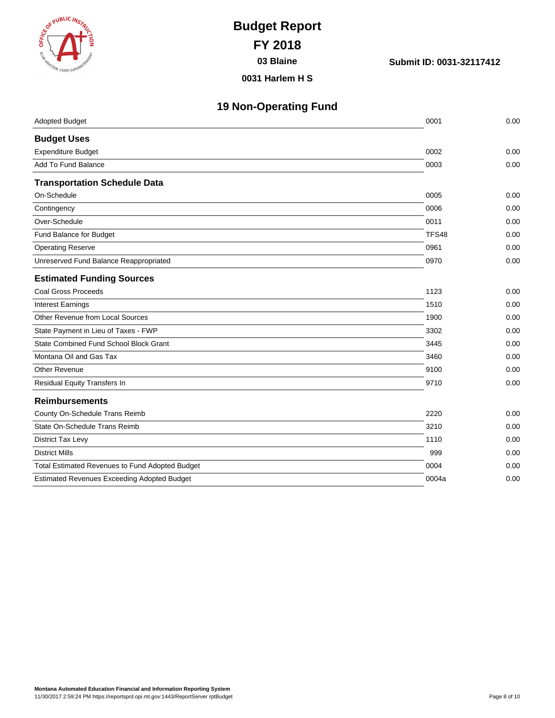| <b>COT PUBLIC INSTRUCT</b> |                                |   |
|----------------------------|--------------------------------|---|
|                            |                                | ş |
|                            | ESE MANZEN, STATE SUPERINTENDE |   |

**03 Blaine Submit ID: 0031-32117412**

**0031 Harlem H S**

| <b>19 Non-Operating Fund</b> |  |  |
|------------------------------|--|--|
|                              |  |  |

| <b>Adopted Budget</b>                              | 0001  | 0.00 |
|----------------------------------------------------|-------|------|
| <b>Budget Uses</b>                                 |       |      |
| <b>Expenditure Budget</b>                          | 0002  | 0.00 |
| Add To Fund Balance                                | 0003  | 0.00 |
| <b>Transportation Schedule Data</b>                |       |      |
| On-Schedule                                        | 0005  | 0.00 |
| Contingency                                        | 0006  | 0.00 |
| Over-Schedule                                      | 0011  | 0.00 |
| Fund Balance for Budget                            | TFS48 | 0.00 |
| <b>Operating Reserve</b>                           | 0961  | 0.00 |
| Unreserved Fund Balance Reappropriated             | 0970  | 0.00 |
| <b>Estimated Funding Sources</b>                   |       |      |
| <b>Coal Gross Proceeds</b>                         | 1123  | 0.00 |
| <b>Interest Earnings</b>                           | 1510  | 0.00 |
| Other Revenue from Local Sources                   | 1900  | 0.00 |
| State Payment in Lieu of Taxes - FWP               | 3302  | 0.00 |
| State Combined Fund School Block Grant             | 3445  | 0.00 |
| Montana Oil and Gas Tax                            | 3460  | 0.00 |
| Other Revenue                                      | 9100  | 0.00 |
| Residual Equity Transfers In                       | 9710  | 0.00 |
| <b>Reimbursements</b>                              |       |      |
| County On-Schedule Trans Reimb                     | 2220  | 0.00 |
| State On-Schedule Trans Reimb                      | 3210  | 0.00 |
| <b>District Tax Levy</b>                           | 1110  | 0.00 |
| <b>District Mills</b>                              | 999   | 0.00 |
| Total Estimated Revenues to Fund Adopted Budget    | 0004  | 0.00 |
| <b>Estimated Revenues Exceeding Adopted Budget</b> | 0004a | 0.00 |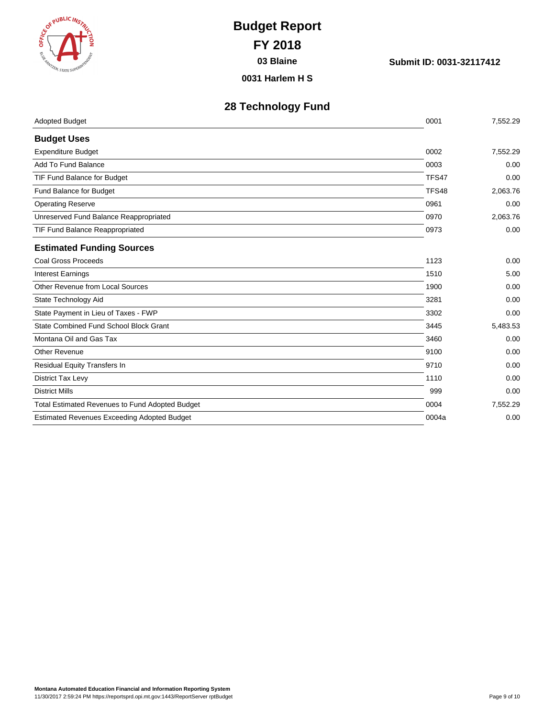| <b>COT PUBLIC INSTRUCT</b>           |   |
|--------------------------------------|---|
|                                      | ġ |
| <b>REAMINEEN, STATE SUPERINTENDE</b> |   |

**03 Blaine Submit ID: 0031-32117412**

**0031 Harlem H S**

### **28 Technology Fund**

| <b>Adopted Budget</b>                              | 0001  | 7,552.29 |
|----------------------------------------------------|-------|----------|
| <b>Budget Uses</b>                                 |       |          |
| <b>Expenditure Budget</b>                          | 0002  | 7,552.29 |
| Add To Fund Balance                                | 0003  | 0.00     |
| TIF Fund Balance for Budget                        | TFS47 | 0.00     |
| Fund Balance for Budget                            | TFS48 | 2,063.76 |
| <b>Operating Reserve</b>                           | 0961  | 0.00     |
| Unreserved Fund Balance Reappropriated             | 0970  | 2,063.76 |
| TIF Fund Balance Reappropriated                    | 0973  | 0.00     |
| <b>Estimated Funding Sources</b>                   |       |          |
| <b>Coal Gross Proceeds</b>                         | 1123  | 0.00     |
| <b>Interest Earnings</b>                           | 1510  | 5.00     |
| Other Revenue from Local Sources                   | 1900  | 0.00     |
| State Technology Aid                               | 3281  | 0.00     |
| State Payment in Lieu of Taxes - FWP               | 3302  | 0.00     |
| State Combined Fund School Block Grant             | 3445  | 5,483.53 |
| Montana Oil and Gas Tax                            | 3460  | 0.00     |
| <b>Other Revenue</b>                               | 9100  | 0.00     |
| <b>Residual Equity Transfers In</b>                | 9710  | 0.00     |
| District Tax Levy                                  | 1110  | 0.00     |
| <b>District Mills</b>                              | 999   | 0.00     |
| Total Estimated Revenues to Fund Adopted Budget    | 0004  | 7,552.29 |
| <b>Estimated Revenues Exceeding Adopted Budget</b> | 0004a | 0.00     |
|                                                    |       |          |